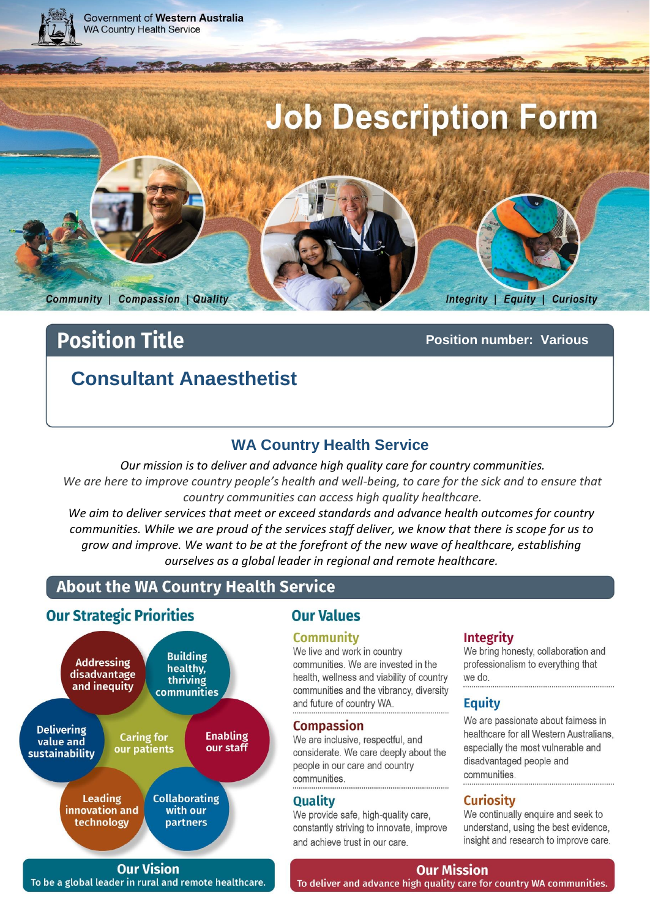

# **Position Title**

**Position number: Various**

# **Consultant Anaesthetist**

## **WA Country Health Service**

*Our mission is to deliver and advance high quality care for country communities.*  We are here to improve country people's health and well-being, to care for the sick and to ensure that *country communities can access high quality healthcare.*

*We aim to deliver services that meet or exceed standards and advance health outcomes for country communities. While we are proud of the services staff deliver, we know that there is scope for us to grow and improve. We want to be at the forefront of the new wave of healthcare, establishing ourselves as a global leader in regional and remote healthcare.*

# About the WA Country Health Service

## **Our Strategic Priorities**



## **Our Values**

#### **Community**

We live and work in country communities. We are invested in the health, wellness and viability of country communities and the vibrancy, diversity and future of country WA.

#### **Compassion**

We are inclusive, respectful, and considerate. We care deeply about the people in our care and country communities.

#### **Quality**

We provide safe, high-quality care, constantly striving to innovate, improve and achieve trust in our care.

#### **Integrity**

We bring honesty, collaboration and professionalism to everything that we do.

#### **Equity**

We are passionate about fairness in healthcare for all Western Australians. especially the most vulnerable and disadvantaged people and communities

### **Curiosity**

We continually enquire and seek to understand, using the best evidence, insight and research to improve care.

**Our Vision** To be a global leader in rural and remote healthcare.

# **Our Mission**

Page 1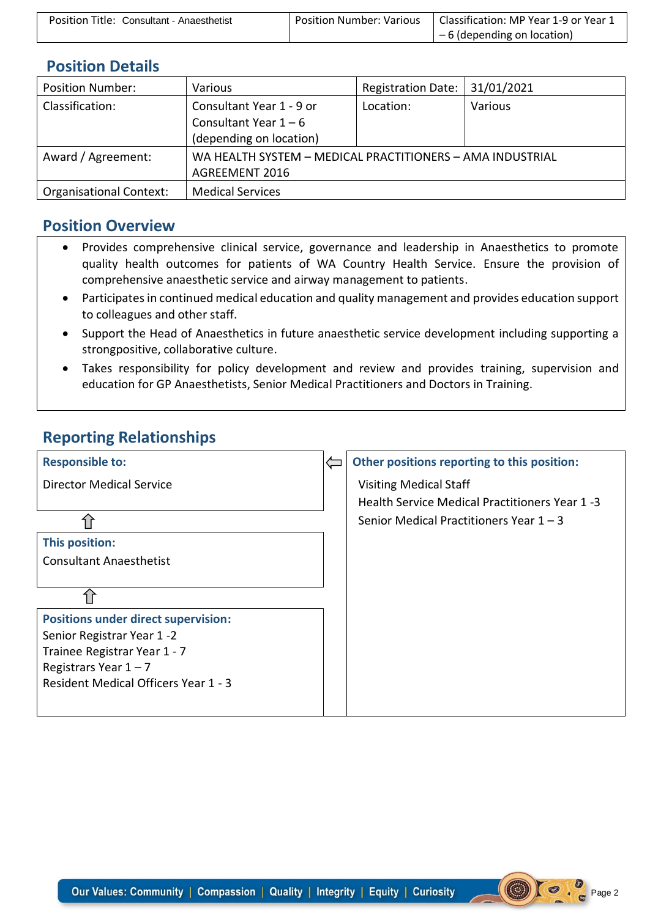| Position Title: Consultant - Anaesthetist | Position Number: Various | Classification: MP Year 1-9 or Year 1 |
|-------------------------------------------|--------------------------|---------------------------------------|
|                                           |                          | $-6$ (depending on location)          |

## **Position Details**

| <b>Position Number:</b>        | Various                                                   | <b>Registration Date:</b> | 31/01/2021 |
|--------------------------------|-----------------------------------------------------------|---------------------------|------------|
| Classification:                | Consultant Year 1 - 9 or                                  | Location:                 | Various    |
|                                | Consultant Year $1 - 6$                                   |                           |            |
|                                | (depending on location)                                   |                           |            |
| Award / Agreement:             | WA HEALTH SYSTEM - MEDICAL PRACTITIONERS - AMA INDUSTRIAL |                           |            |
|                                | <b>AGREEMENT 2016</b>                                     |                           |            |
| <b>Organisational Context:</b> | <b>Medical Services</b>                                   |                           |            |

### **Position Overview**

- Provides comprehensive clinical service, governance and leadership in Anaesthetics to promote quality health outcomes for patients of WA Country Health Service. Ensure the provision of comprehensive anaesthetic service and airway management to patients.
- Participates in continued medical education and quality management and provides education support to colleagues and other staff.
- Support the Head of Anaesthetics in future anaesthetic service development including supporting a strongpositive, collaborative culture.
- Takes responsibility for policy development and review and provides training, supervision and education for GP Anaesthetists, Senior Medical Practitioners and Doctors in Training.

# **Reporting Relationships**

| <b>Responsible to:</b>                      | Other positions reporting to this position:    |
|---------------------------------------------|------------------------------------------------|
| Director Medical Service                    | <b>Visiting Medical Staff</b>                  |
|                                             | Health Service Medical Practitioners Year 1 -3 |
|                                             | Senior Medical Practitioners Year $1 - 3$      |
| This position:                              |                                                |
| <b>Consultant Anaesthetist</b>              |                                                |
|                                             |                                                |
|                                             |                                                |
| <b>Positions under direct supervision:</b>  |                                                |
| Senior Registrar Year 1-2                   |                                                |
| Trainee Registrar Year 1 - 7                |                                                |
| Registrars Year $1 - 7$                     |                                                |
| <b>Resident Medical Officers Year 1 - 3</b> |                                                |
|                                             |                                                |

Page 2

 $\circledast$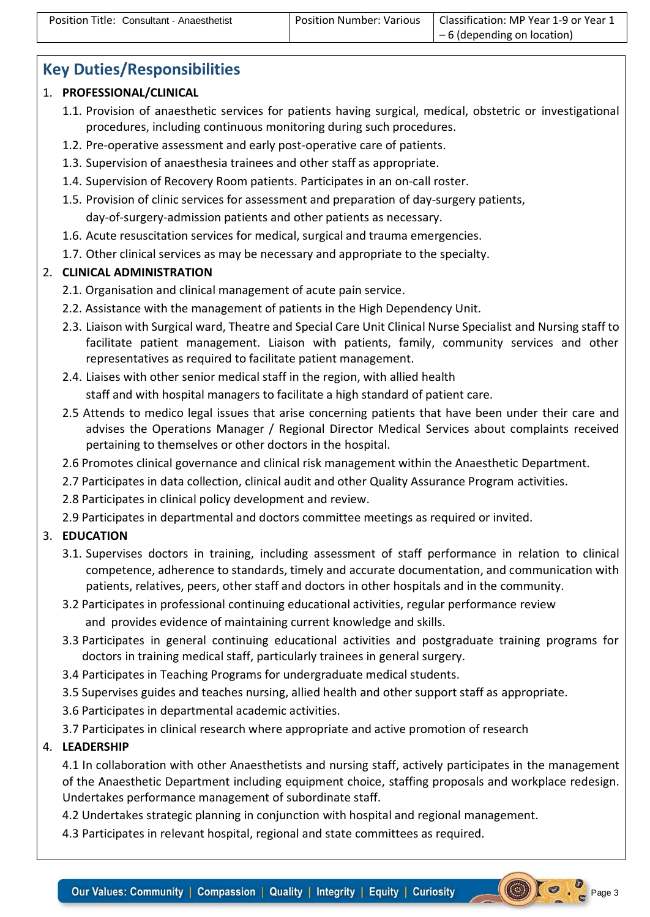$\bigcirc$   $\bigcirc$   $\bigcirc$   $_{\text{Page 3}}$ 

# **Key Duties/Responsibilities**

#### 1. **PROFESSIONAL/CLINICAL**

- 1.1. Provision of anaesthetic services for patients having surgical, medical, obstetric or investigational procedures, including continuous monitoring during such procedures.
- 1.2. Pre-operative assessment and early post-operative care of patients.
- 1.3. Supervision of anaesthesia trainees and other staff as appropriate.
- 1.4. Supervision of Recovery Room patients. Participates in an on-call roster.
- 1.5. Provision of clinic services for assessment and preparation of day-surgery patients, day-of-surgery-admission patients and other patients as necessary.
- 1.6. Acute resuscitation services for medical, surgical and trauma emergencies.
- 1.7. Other clinical services as may be necessary and appropriate to the specialty.

#### 2. **CLINICAL ADMINISTRATION**

- 2.1. Organisation and clinical management of acute pain service.
- 2.2. Assistance with the management of patients in the High Dependency Unit.
- 2.3. Liaison with Surgical ward, Theatre and Special Care Unit Clinical Nurse Specialist and Nursing staff to facilitate patient management. Liaison with patients, family, community services and other representatives as required to facilitate patient management.
- 2.4. Liaises with other senior medical staff in the region, with allied health staff and with hospital managers to facilitate a high standard of patient care.
- 2.5 Attends to medico legal issues that arise concerning patients that have been under their care and advises the Operations Manager / Regional Director Medical Services about complaints received pertaining to themselves or other doctors in the hospital.
- 2.6 Promotes clinical governance and clinical risk management within the Anaesthetic Department.
- 2.7 Participates in data collection, clinical audit and other Quality Assurance Program activities.
- 2.8 Participates in clinical policy development and review.
- 2.9 Participates in departmental and doctors committee meetings as required or invited.

#### 3. **EDUCATION**

- 3.1. Supervises doctors in training, including assessment of staff performance in relation to clinical competence, adherence to standards, timely and accurate documentation, and communication with patients, relatives, peers, other staff and doctors in other hospitals and in the community.
- 3.2 Participates in professional continuing educational activities, regular performance review and provides evidence of maintaining current knowledge and skills.
- 3.3 Participates in general continuing educational activities and postgraduate training programs for doctors in training medical staff, particularly trainees in general surgery.
- 3.4 Participates in Teaching Programs for undergraduate medical students.
- 3.5 Supervises guides and teaches nursing, allied health and other support staff as appropriate.
- 3.6 Participates in departmental academic activities.
- 3.7 Participates in clinical research where appropriate and active promotion of research

#### 4. **LEADERSHIP**

4.1 In collaboration with other Anaesthetists and nursing staff, actively participates in the management of the Anaesthetic Department including equipment choice, staffing proposals and workplace redesign. Undertakes performance management of subordinate staff.

4.2 Undertakes strategic planning in conjunction with hospital and regional management.

4.3 Participates in relevant hospital, regional and state committees as required.